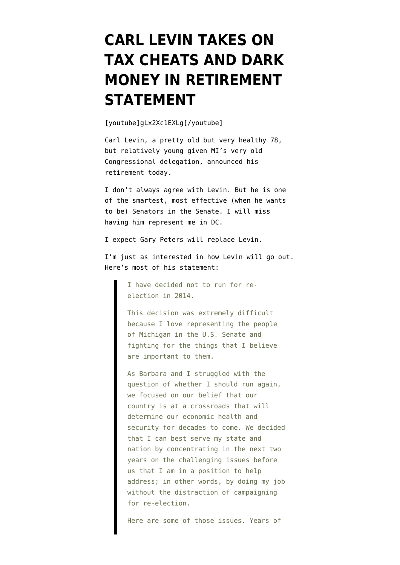## **[CARL LEVIN TAKES ON](https://www.emptywheel.net/2013/03/07/may-carl-levin-go-out-in-style/) [TAX CHEATS AND DARK](https://www.emptywheel.net/2013/03/07/may-carl-levin-go-out-in-style/) [MONEY IN RETIREMENT](https://www.emptywheel.net/2013/03/07/may-carl-levin-go-out-in-style/) [STATEMENT](https://www.emptywheel.net/2013/03/07/may-carl-levin-go-out-in-style/)**

[youtube]gLx2Xc1EXLg[/youtube]

Carl Levin, a pretty old but very healthy 78, but relatively young given MI's very old Congressional delegation, announced his retirement today.

I don't always agree with Levin. But he is one of the smartest, most effective (when he wants to be) Senators in the Senate. I will miss having him represent me in DC.

I expect Gary Peters will replace Levin.

I'm just as interested in how Levin will go out. Here's most of his [statement](http://www.levin.senate.gov/newsroom/press/release/sen-carl-levin-announces-he-will-not-seek-re-election-in-2014):

> I have decided not to run for reelection in 2014.

This decision was extremely difficult because I love representing the people of Michigan in the U.S. Senate and fighting for the things that I believe are important to them.

As Barbara and I struggled with the question of whether I should run again, we focused on our belief that our country is at a crossroads that will determine our economic health and security for decades to come. We decided that I can best serve my state and nation by concentrating in the next two years on the challenging issues before us that I am in a position to help address; in other words, by doing my job without the distraction of campaigning for re-election.

Here are some of those issues. Years of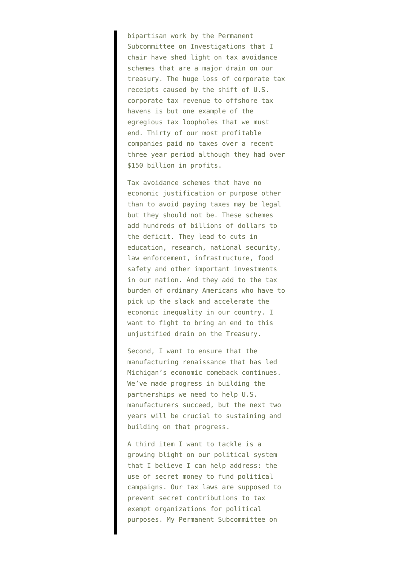bipartisan work by the Permanent Subcommittee on Investigations that I chair have shed light on tax avoidance schemes that are a major drain on our treasury. The huge loss of corporate tax receipts caused by the shift of U.S. corporate tax revenue to offshore tax havens is but one example of the egregious tax loopholes that we must end. Thirty of our most profitable companies paid no taxes over a recent three year period although they had over \$150 billion in profits.

Tax avoidance schemes that have no economic justification or purpose other than to avoid paying taxes may be legal but they should not be. These schemes add hundreds of billions of dollars to the deficit. They lead to cuts in education, research, national security, law enforcement, infrastructure, food safety and other important investments in our nation. And they add to the tax burden of ordinary Americans who have to pick up the slack and accelerate the economic inequality in our country. I want to fight to bring an end to this unjustified drain on the Treasury.

Second, I want to ensure that the manufacturing renaissance that has led Michigan's economic comeback continues. We've made progress in building the partnerships we need to help U.S. manufacturers succeed, but the next two years will be crucial to sustaining and building on that progress.

A third item I want to tackle is a growing blight on our political system that I believe I can help address: the use of secret money to fund political campaigns. Our tax laws are supposed to prevent secret contributions to tax exempt organizations for political purposes. My Permanent Subcommittee on